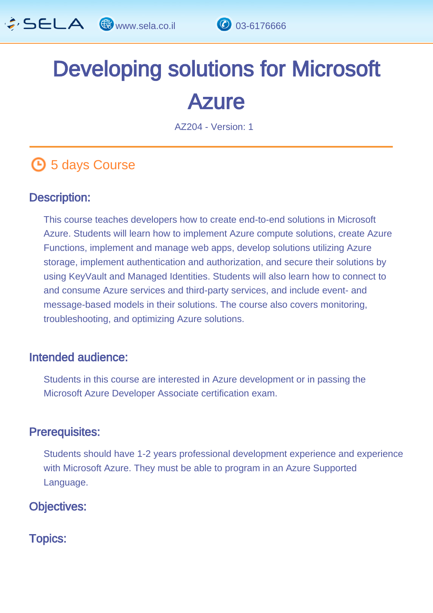

# Developing solutions for Microsoft **Azure**

AZ204 - Version: 1

# **4** 5 days Course

## Description: Ĩ

This course teaches developers how to create end-to-end solutions in Microsoft Azure. Students will learn how to implement Azure compute solutions, create Azure Functions, implement and manage web apps, develop solutions utilizing Azure storage, implement authentication and authorization, and secure their solutions by using KeyVault and Managed Identities. Students will also learn how to connect to and consume Azure services and third-party services, and include event- and message-based models in their solutions. The course also covers monitoring, troubleshooting, and optimizing Azure solutions.

## Intended audience: ľ

Students in this course are interested in Azure development or in passing the Microsoft Azure Developer Associate certification exam.

### Prerequisites: Ï

Students should have 1-2 years professional development experience and experience with Microsoft Azure. They must be able to program in an Azure Supported Language.

## Objectives: Ĭ

Topics: J.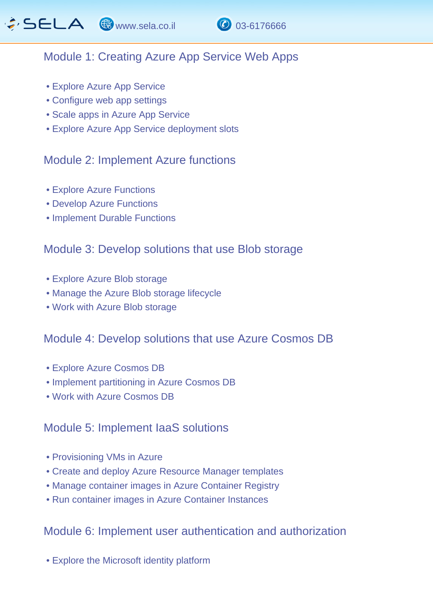

# Module 1: Creating Azure App Service Web Apps

- Explore Azure App Service
- Configure web app settings
- Scale apps in Azure App Service
- Explore Azure App Service deployment slots

# Module 2: Implement Azure functions

- Explore Azure Functions
- Develop Azure Functions
- Implement Durable Functions

## Module 3: Develop solutions that use Blob storage

- Explore Azure Blob storage
- Manage the Azure Blob storage lifecycle
- Work with Azure Blob storage

# Module 4: Develop solutions that use Azure Cosmos DB

- Explore Azure Cosmos DB
- Implement partitioning in Azure Cosmos DB
- Work with Azure Cosmos DB

# Module 5: Implement IaaS solutions

- Provisioning VMs in Azure
- Create and deploy Azure Resource Manager templates
- Manage container images in Azure Container Registry
- Run container images in Azure Container Instances

# Module 6: Implement user authentication and authorization

• Explore the Microsoft identity platform